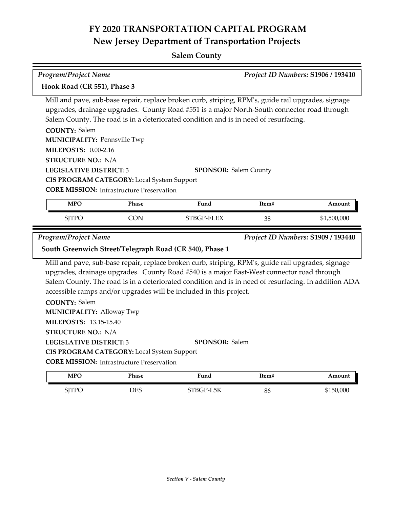# **FY 2020 TRANSPORTATION CAPITAL PROGRAM New Jersey Department of Transportation Projects**

#### **Salem County**

| <b>Program/Project Name</b>                                                                                                                              |                                                                                                |                                                                                                                                                                                                                                                                                                                                                                                                        | Project ID Numbers: S1906 / 193410 |                                    |  |  |
|----------------------------------------------------------------------------------------------------------------------------------------------------------|------------------------------------------------------------------------------------------------|--------------------------------------------------------------------------------------------------------------------------------------------------------------------------------------------------------------------------------------------------------------------------------------------------------------------------------------------------------------------------------------------------------|------------------------------------|------------------------------------|--|--|
| Hook Road (CR 551), Phase 3                                                                                                                              |                                                                                                |                                                                                                                                                                                                                                                                                                                                                                                                        |                                    |                                    |  |  |
| <b>COUNTY: Salem</b><br><b>MUNICIPALITY: Pennsville Twp</b><br><b>MILEPOSTS: 0.00-2.16</b><br><b>STRUCTURE NO.: N/A</b><br><b>LEGISLATIVE DISTRICT:3</b> | CIS PROGRAM CATEGORY: Local System Support<br><b>CORE MISSION:</b> Infrastructure Preservation | Mill and pave, sub-base repair, replace broken curb, striping, RPM's, guide rail upgrades, signage<br>upgrades, drainage upgrades. County Road #551 is a major North-South connector road through<br>Salem County. The road is in a deteriorated condition and is in need of resurfacing.<br><b>SPONSOR: Salem County</b>                                                                              |                                    |                                    |  |  |
| <b>MPO</b>                                                                                                                                               | Phase                                                                                          | Fund                                                                                                                                                                                                                                                                                                                                                                                                   | Item#                              | Amount                             |  |  |
|                                                                                                                                                          |                                                                                                |                                                                                                                                                                                                                                                                                                                                                                                                        |                                    |                                    |  |  |
| <b>SJTPO</b>                                                                                                                                             | <b>CON</b>                                                                                     | STBGP-FLEX                                                                                                                                                                                                                                                                                                                                                                                             | 38                                 | \$1,500,000                        |  |  |
| <b>Program/Project Name</b>                                                                                                                              |                                                                                                | South Greenwich Street/Telegraph Road (CR 540), Phase 1                                                                                                                                                                                                                                                                                                                                                |                                    | Project ID Numbers: S1909 / 193440 |  |  |
| <b>COUNTY: Salem</b><br><b>MUNICIPALITY: Alloway Twp</b><br><b>MILEPOSTS: 13.15-15.40</b><br><b>STRUCTURE NO.: N/A</b><br><b>LEGISLATIVE DISTRICT:3</b>  |                                                                                                | Mill and pave, sub-base repair, replace broken curb, striping, RPM's, guide rail upgrades, signage<br>upgrades, drainage upgrades. County Road #540 is a major East-West connector road through<br>Salem County. The road is in a deteriorated condition and is in need of resurfacing. In addition ADA<br>accessible ramps and/or upgrades will be included in this project.<br><b>SPONSOR: Salem</b> |                                    |                                    |  |  |
|                                                                                                                                                          | CIS PROGRAM CATEGORY: Local System Support<br><b>CORE MISSION:</b> Infrastructure Preservation |                                                                                                                                                                                                                                                                                                                                                                                                        |                                    |                                    |  |  |

| <b>MPC</b> | Phase | Fund              | Item# | ⊾mount    |
|------------|-------|-------------------|-------|-----------|
| TTD<br>ᄓᅜ  | DES   | L5K<br>'R(<br>IJ. | 86    | \$150,000 |